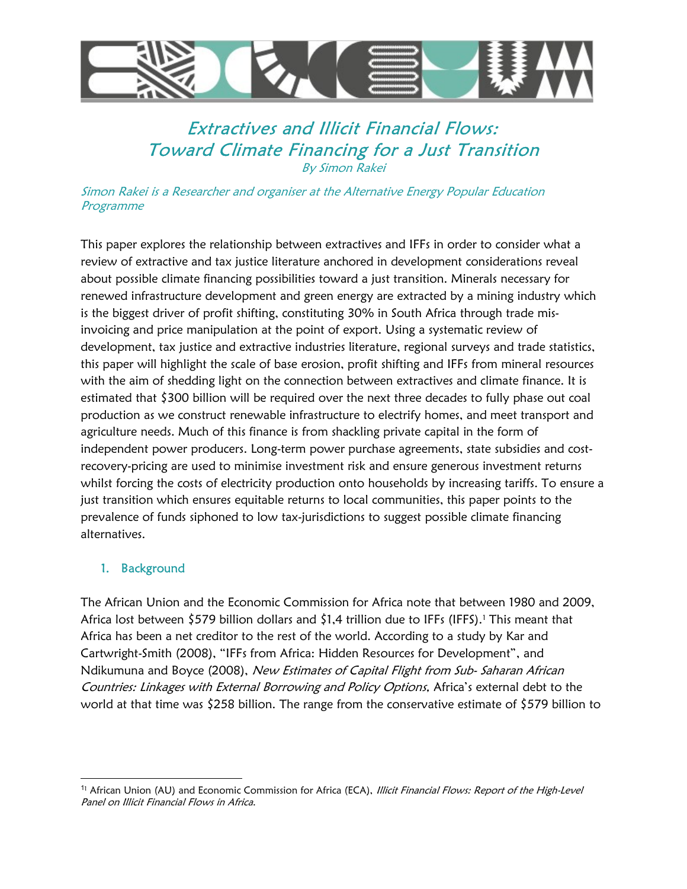

# Extractives and Illicit Financial Flows: Toward Climate Financing for a Just Transition By Simon Rakei

Simon Rakei is a Researcher and organiser at the Alternative Energy Popular Education Programme

This paper explores the relationship between extractives and IFFs in order to consider what a review of extractive and tax justice literature anchored in development considerations reveal about possible climate financing possibilities toward a just transition. Minerals necessary for renewed infrastructure development and green energy are extracted by a mining industry which is the biggest driver of profit shifting, constituting 30% in South Africa through trade misinvoicing and price manipulation at the point of export. Using a systematic review of development, tax justice and extractive industries literature, regional surveys and trade statistics, this paper will highlight the scale of base erosion, profit shifting and IFFs from mineral resources with the aim of shedding light on the connection between extractives and climate finance. It is estimated that \$300 billion will be required over the next three decades to fully phase out coal production as we construct renewable infrastructure to electrify homes, and meet transport and agriculture needs. Much of this finance is from shackling private capital in the form of independent power producers. Long-term power purchase agreements, state subsidies and costrecovery-pricing are used to minimise investment risk and ensure generous investment returns whilst forcing the costs of electricity production onto households by increasing tariffs. To ensure a just transition which ensures equitable returns to local communities, this paper points to the prevalence of funds siphoned to low tax-jurisdictions to suggest possible climate financing alternatives.

# 1. Background

The African Union and the Economic Commission for Africa note that between 1980 and 2009, Africa lost between \$579 billion dollars and \$1,4 trillion due to IFFs (IFFS).1 This meant that Africa has been a net creditor to the rest of the world. According to a study by Kar and Cartwright-Smith (2008), "IFFs from Africa: Hidden Resources for Development", and Ndikumuna and Boyce (2008), New Estimates of Capital Flight from Sub- Saharan African Countries: Linkages with External Borrowing and Policy Options, Africa's external debt to the world at that time was \$258 billion. The range from the conservative estimate of \$579 billion to

<sup>&</sup>lt;sup>11</sup> African Union (AU) and Economic Commission for Africa (ECA), Illicit Financial Flows: Report of the High-Level Panel on Illicit Financial Flows in Africa.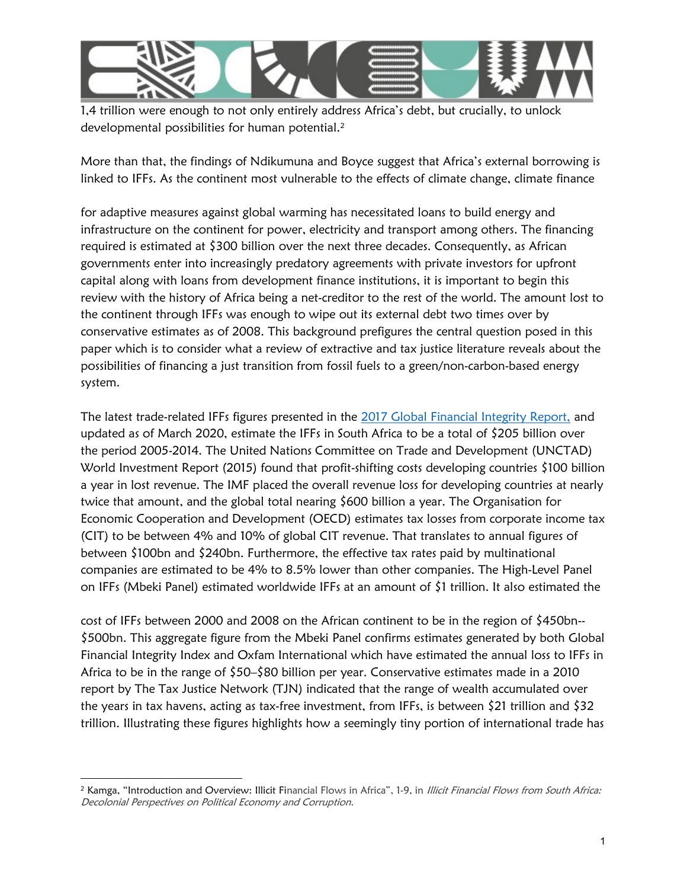

1,4 trillion were enough to not only entirely address Africa's debt, but crucially, to unlock developmental possibilities for human potential.<sup>2</sup>

More than that, the findings of Ndikumuna and Boyce suggest that Africa's external borrowing is linked to IFFs. As the continent most vulnerable to the effects of climate change, climate finance

for adaptive measures against global warming has necessitated loans to build energy and infrastructure on the continent for power, electricity and transport among others. The financing required is estimated at \$300 billion over the next three decades. Consequently, as African governments enter into increasingly predatory agreements with private investors for upfront capital along with loans from development finance institutions, it is important to begin this review with the history of Africa being a net-creditor to the rest of the world. The amount lost to the continent through IFFs was enough to wipe out its external debt two times over by conservative estimates as of 2008. This background prefigures the central question posed in this paper which is to consider what a review of extractive and tax justice literature reveals about the possibilities of financing a just transition from fossil fuels to a green/non-carbon-based energy system.

The latest trade-related IFFs figures presented in the 2017 Global Financial Integrity Report, and updated as of March 2020, estimate the IFFs in South Africa to be a total of \$205 billion over the period 2005-2014. The United Nations Committee on Trade and Development (UNCTAD) World Investment Report (2015) found that profit-shifting costs developing countries \$100 billion a year in lost revenue. The IMF placed the overall revenue loss for developing countries at nearly twice that amount, and the global total nearing \$600 billion a year. The Organisation for Economic Cooperation and Development (OECD) estimates tax losses from corporate income tax (CIT) to be between 4% and 10% of global CIT revenue. That translates to annual figures of between \$100bn and \$240bn. Furthermore, the effective tax rates paid by multinational companies are estimated to be 4% to 8.5% lower than other companies. The High-Level Panel on IFFs (Mbeki Panel) estimated worldwide IFFs at an amount of \$1 trillion. It also estimated the

cost of IFFs between 2000 and 2008 on the African continent to be in the region of \$450bn-- \$500bn. This aggregate figure from the Mbeki Panel confirms estimates generated by both Global Financial Integrity Index and Oxfam International which have estimated the annual loss to IFFs in Africa to be in the range of \$50–\$80 billion per year. Conservative estimates made in a 2010 report by The Tax Justice Network (TJN) indicated that the range of wealth accumulated over the years in tax havens, acting as tax-free investment, from IFFs, is between \$21 trillion and \$32 trillion. Illustrating these figures highlights how a seemingly tiny portion of international trade has

<sup>&</sup>lt;sup>2</sup> Kamga, "Introduction and Overview: Illicit Financial Flows in Africa", 1-9, in *Illicit Financial Flows from South Africa:* Decolonial Perspectives on Political Economy and Corruption.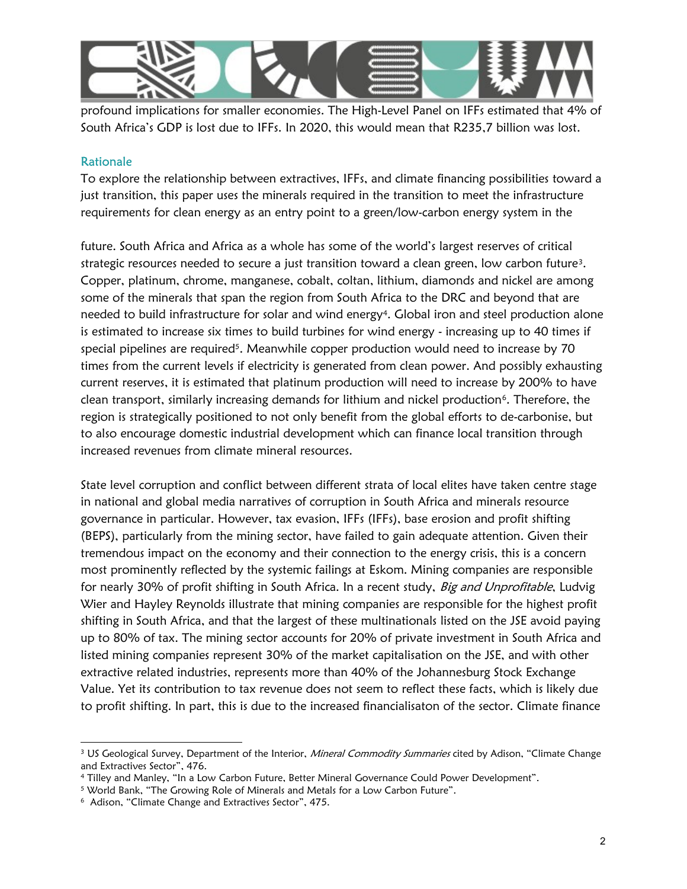

profound implications for smaller economies. The High-Level Panel on IFFs estimated that 4% of South Africa's GDP is lost due to IFFs. In 2020, this would mean that R235,7 billion was lost.

#### Rationale

To explore the relationship between extractives, IFFs, and climate financing possibilities toward a just transition, this paper uses the minerals required in the transition to meet the infrastructure requirements for clean energy as an entry point to a green/low-carbon energy system in the

future. South Africa and Africa as a whole has some of the world's largest reserves of critical strategic resources needed to secure a just transition toward a clean green, low carbon future<sup>3</sup>. Copper, platinum, chrome, manganese, cobalt, coltan, lithium, diamonds and nickel are among some of the minerals that span the region from South Africa to the DRC and beyond that are needed to build infrastructure for solar and wind energy<sup>4</sup>. Global iron and steel production alone is estimated to increase six times to build turbines for wind energy - increasing up to 40 times if special pipelines are required<sup>5</sup>. Meanwhile copper production would need to increase by 70 times from the current levels if electricity is generated from clean power. And possibly exhausting current reserves, it is estimated that platinum production will need to increase by 200% to have clean transport, similarly increasing demands for lithium and nickel production<sup>6</sup>. Therefore, the region is strategically positioned to not only benefit from the global efforts to de-carbonise, but to also encourage domestic industrial development which can finance local transition through increased revenues from climate mineral resources.

State level corruption and conflict between different strata of local elites have taken centre stage in national and global media narratives of corruption in South Africa and minerals resource governance in particular. However, tax evasion, IFFs (IFFs), base erosion and profit shifting (BEPS), particularly from the mining sector, have failed to gain adequate attention. Given their tremendous impact on the economy and their connection to the energy crisis, this is a concern most prominently reflected by the systemic failings at Eskom. Mining companies are responsible for nearly 30% of profit shifting in South Africa. In a recent study, Big and Unprofitable, Ludvig Wier and Hayley Reynolds illustrate that mining companies are responsible for the highest profit shifting in South Africa, and that the largest of these multinationals listed on the JSE avoid paying up to 80% of tax. The mining sector accounts for 20% of private investment in South Africa and listed mining companies represent 30% of the market capitalisation on the JSE, and with other extractive related industries, represents more than 40% of the Johannesburg Stock Exchange Value. Yet its contribution to tax revenue does not seem to reflect these facts, which is likely due to profit shifting. In part, this is due to the increased financialisaton of the sector. Climate finance

<sup>&</sup>lt;sup>3</sup> US Geological Survey, Department of the Interior, *Mineral Commodity Summaries* cited by Adison, "Climate Change and Extractives Sector", 476.

<sup>4</sup> Tilley and Manley, "In a Low Carbon Future, Better Mineral Governance Could Power Development".

<sup>5</sup> World Bank, "The Growing Role of Minerals and Metals for a Low Carbon Future".

<sup>6</sup> Adison, "Climate Change and Extractives Sector", 475.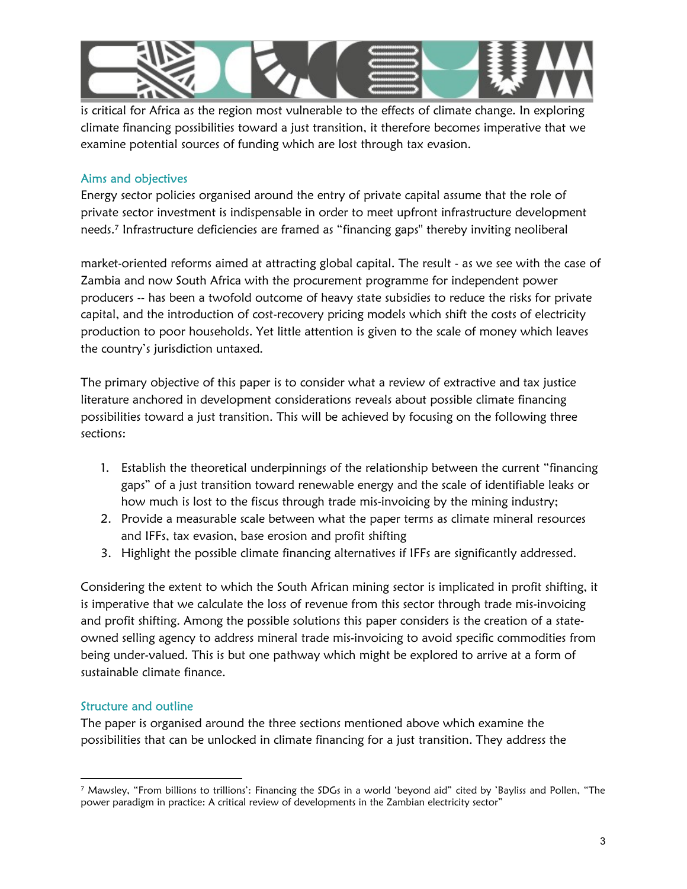

is critical for Africa as the region most vulnerable to the effects of climate change. In exploring climate financing possibilities toward a just transition, it therefore becomes imperative that we examine potential sources of funding which are lost through tax evasion.

### Aims and objectives

Energy sector policies organised around the entry of private capital assume that the role of private sector investment is indispensable in order to meet upfront infrastructure development needs.<sup>7</sup> Infrastructure deficiencies are framed as "financing gaps'' thereby inviting neoliberal

market-oriented reforms aimed at attracting global capital. The result - as we see with the case of Zambia and now South Africa with the procurement programme for independent power producers -- has been a twofold outcome of heavy state subsidies to reduce the risks for private capital, and the introduction of cost-recovery pricing models which shift the costs of electricity production to poor households. Yet little attention is given to the scale of money which leaves the country's jurisdiction untaxed.

The primary objective of this paper is to consider what a review of extractive and tax justice literature anchored in development considerations reveals about possible climate financing possibilities toward a just transition. This will be achieved by focusing on the following three sections:

- 1. Establish the theoretical underpinnings of the relationship between the current "financing gaps" of a just transition toward renewable energy and the scale of identifiable leaks or how much is lost to the fiscus through trade mis-invoicing by the mining industry;
- 2. Provide a measurable scale between what the paper terms as climate mineral resources and IFFs, tax evasion, base erosion and profit shifting
- 3. Highlight the possible climate financing alternatives if IFFs are significantly addressed.

Considering the extent to which the South African mining sector is implicated in profit shifting, it is imperative that we calculate the loss of revenue from this sector through trade mis-invoicing and profit shifting. Among the possible solutions this paper considers is the creation of a stateowned selling agency to address mineral trade mis-invoicing to avoid specific commodities from being under-valued. This is but one pathway which might be explored to arrive at a form of sustainable climate finance.

# Structure and outline

The paper is organised around the three sections mentioned above which examine the possibilities that can be unlocked in climate financing for a just transition. They address the

<sup>7</sup> Mawsley, "From billions to trillions': Financing the SDGs in a world 'beyond aid" cited by 'Bayliss and Pollen, "The power paradigm in practice: A critical review of developments in the Zambian electricity sector"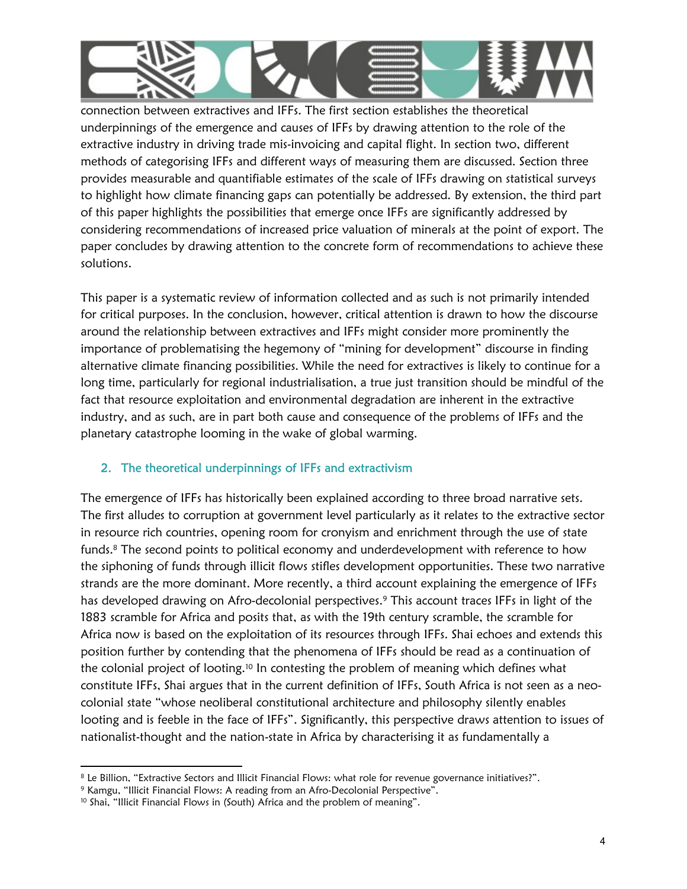

connection between extractives and IFFs. The first section establishes the theoretical underpinnings of the emergence and causes of IFFs by drawing attention to the role of the extractive industry in driving trade mis-invoicing and capital flight. In section two, different methods of categorising IFFs and different ways of measuring them are discussed. Section three provides measurable and quantifiable estimates of the scale of IFFs drawing on statistical surveys to highlight how climate financing gaps can potentially be addressed. By extension, the third part of this paper highlights the possibilities that emerge once IFFs are significantly addressed by considering recommendations of increased price valuation of minerals at the point of export. The paper concludes by drawing attention to the concrete form of recommendations to achieve these solutions.

This paper is a systematic review of information collected and as such is not primarily intended for critical purposes. In the conclusion, however, critical attention is drawn to how the discourse around the relationship between extractives and IFFs might consider more prominently the importance of problematising the hegemony of "mining for development" discourse in finding alternative climate financing possibilities. While the need for extractives is likely to continue for a long time, particularly for regional industrialisation, a true just transition should be mindful of the fact that resource exploitation and environmental degradation are inherent in the extractive industry, and as such, are in part both cause and consequence of the problems of IFFs and the planetary catastrophe looming in the wake of global warming.

# 2. The theoretical underpinnings of IFFs and extractivism

The emergence of IFFs has historically been explained according to three broad narrative sets. The first alludes to corruption at government level particularly as it relates to the extractive sector in resource rich countries, opening room for cronyism and enrichment through the use of state funds.<sup>8</sup> The second points to political economy and underdevelopment with reference to how the siphoning of funds through illicit flows stifles development opportunities. These two narrative strands are the more dominant. More recently, a third account explaining the emergence of IFFs has developed drawing on Afro-decolonial perspectives.<sup>9</sup> This account traces IFFs in light of the 1883 scramble for Africa and posits that, as with the 19th century scramble, the scramble for Africa now is based on the exploitation of its resources through IFFs. Shai echoes and extends this position further by contending that the phenomena of IFFs should be read as a continuation of the colonial project of looting.10 In contesting the problem of meaning which defines what constitute IFFs, Shai argues that in the current definition of IFFs, South Africa is not seen as a neocolonial state "whose neoliberal constitutional architecture and philosophy silently enables looting and is feeble in the face of IFFs". Significantly, this perspective draws attention to issues of nationalist-thought and the nation-state in Africa by characterising it as fundamentally a

<sup>8</sup> Le Billion, "Extractive Sectors and Illicit Financial Flows: what role for revenue governance initiatives?".

<sup>9</sup> Kamgu, "Illicit Financial Flows: A reading from an Afro-Decolonial Perspective".

<sup>&</sup>lt;sup>10</sup> Shai, "Illicit Financial Flows in (South) Africa and the problem of meaning".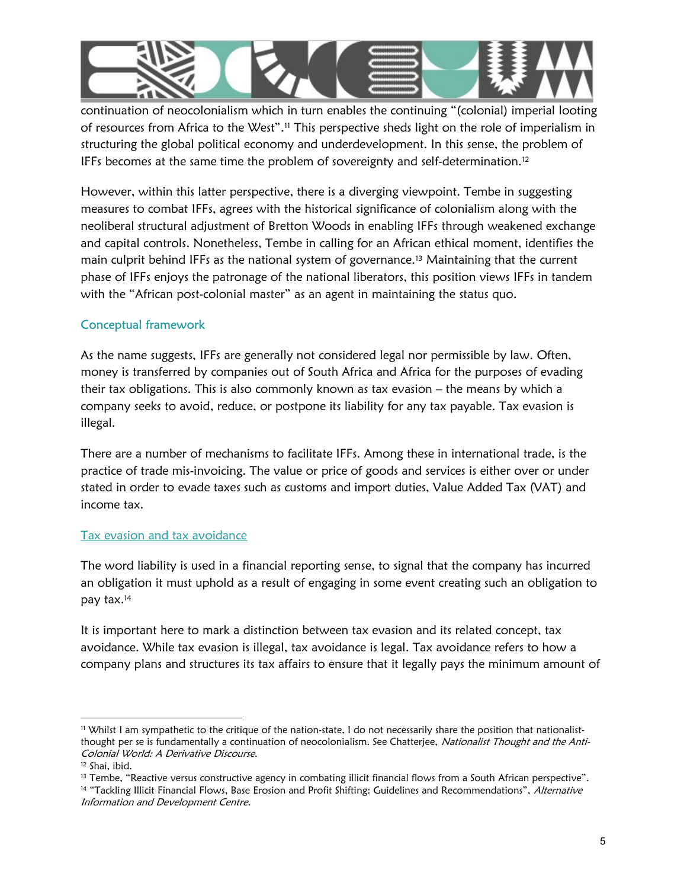

continuation of neocolonialism which in turn enables the continuing "(colonial) imperial looting of resources from Africa to the West".11 This perspective sheds light on the role of imperialism in structuring the global political economy and underdevelopment. In this sense, the problem of IFFs becomes at the same time the problem of sovereignty and self-determination.<sup>12</sup>

However, within this latter perspective, there is a diverging viewpoint. Tembe in suggesting measures to combat IFFs, agrees with the historical significance of colonialism along with the neoliberal structural adjustment of Bretton Woods in enabling IFFs through weakened exchange and capital controls. Nonetheless, Tembe in calling for an African ethical moment, identifies the main culprit behind IFFs as the national system of governance.13 Maintaining that the current phase of IFFs enjoys the patronage of the national liberators, this position views IFFs in tandem with the "African post-colonial master" as an agent in maintaining the status quo.

# Conceptual framework

As the name suggests, IFFs are generally not considered legal nor permissible by law. Often, money is transferred by companies out of South Africa and Africa for the purposes of evading their tax obligations. This is also commonly known as tax evasion – the means by which a company seeks to avoid, reduce, or postpone its liability for any tax payable. Tax evasion is illegal.

There are a number of mechanisms to facilitate IFFs. Among these in international trade, is the practice of trade mis-invoicing. The value or price of goods and services is either over or under stated in order to evade taxes such as customs and import duties, Value Added Tax (VAT) and income tax.

#### Tax evasion and tax avoidance

The word liability is used in a financial reporting sense, to signal that the company has incurred an obligation it must uphold as a result of engaging in some event creating such an obligation to pay tax.<sup>14</sup>

It is important here to mark a distinction between tax evasion and its related concept, tax avoidance. While tax evasion is illegal, tax avoidance is legal. Tax avoidance refers to how a company plans and structures its tax affairs to ensure that it legally pays the minimum amount of

<sup>11</sup> Whilst I am sympathetic to the critique of the nation-state, I do not necessarily share the position that nationalistthought per se is fundamentally a continuation of neocolonialism. See Chatterjee, Nationalist Thought and the Anti-Colonial World: A Derivative Discourse.

<sup>12</sup> Shai, ibid.

<sup>&</sup>lt;sup>13</sup> Tembe, "Reactive versus constructive agency in combating illicit financial flows from a South African perspective". 14 "Tackling Illicit Financial Flows, Base Erosion and Profit Shifting: Guidelines and Recommendations", Alternative Information and Development Centre.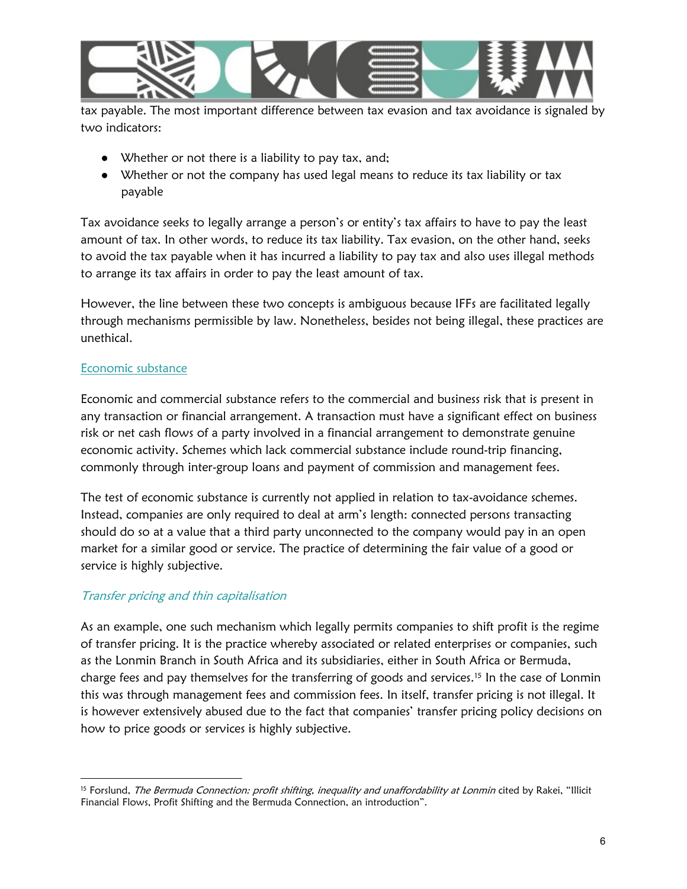

tax payable. The most important difference between tax evasion and tax avoidance is signaled by two indicators:

- Whether or not there is a liability to pay tax, and;
- Whether or not the company has used legal means to reduce its tax liability or tax payable

Tax avoidance seeks to legally arrange a person's or entity's tax affairs to have to pay the least amount of tax. In other words, to reduce its tax liability. Tax evasion, on the other hand, seeks to avoid the tax payable when it has incurred a liability to pay tax and also uses illegal methods to arrange its tax affairs in order to pay the least amount of tax.

However, the line between these two concepts is ambiguous because IFFs are facilitated legally through mechanisms permissible by law. Nonetheless, besides not being illegal, these practices are unethical.

# Economic substance

Economic and commercial substance refers to the commercial and business risk that is present in any transaction or financial arrangement. A transaction must have a significant effect on business risk or net cash flows of a party involved in a financial arrangement to demonstrate genuine economic activity. Schemes which lack commercial substance include round-trip financing, commonly through inter-group loans and payment of commission and management fees.

The test of economic substance is currently not applied in relation to tax-avoidance schemes. Instead, companies are only required to deal at arm's length: connected persons transacting should do so at a value that a third party unconnected to the company would pay in an open market for a similar good or service. The practice of determining the fair value of a good or service is highly subjective.

# Transfer pricing and thin capitalisation

As an example, one such mechanism which legally permits companies to shift profit is the regime of transfer pricing. It is the practice whereby associated or related enterprises or companies, such as the Lonmin Branch in South Africa and its subsidiaries, either in South Africa or Bermuda, charge fees and pay themselves for the transferring of goods and services.<sup>15</sup> In the case of Lonmin this was through management fees and commission fees. In itself, transfer pricing is not illegal. It is however extensively abused due to the fact that companies' transfer pricing policy decisions on how to price goods or services is highly subjective.

<sup>&</sup>lt;sup>15</sup> Forslund, The Bermuda Connection: profit shifting, inequality and unaffordability at Lonmin cited by Rakei, "Illicit Financial Flows, Profit Shifting and the Bermuda Connection, an introduction".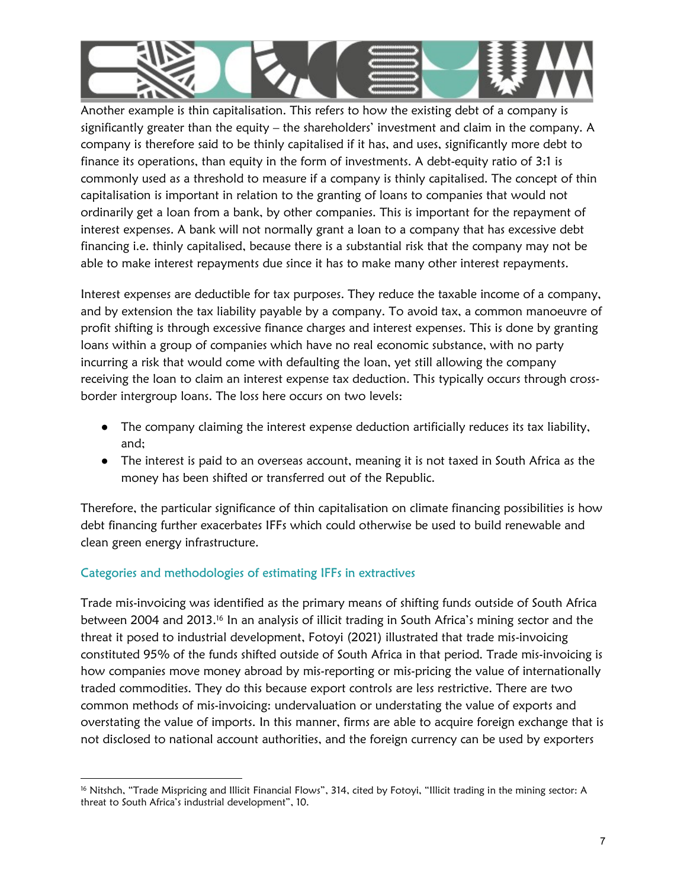

Another example is thin capitalisation. This refers to how the existing debt of a company is significantly greater than the equity – the shareholders' investment and claim in the company. A company is therefore said to be thinly capitalised if it has, and uses, significantly more debt to finance its operations, than equity in the form of investments. A debt-equity ratio of 3:1 is commonly used as a threshold to measure if a company is thinly capitalised. The concept of thin capitalisation is important in relation to the granting of loans to companies that would not ordinarily get a loan from a bank, by other companies. This is important for the repayment of interest expenses. A bank will not normally grant a loan to a company that has excessive debt financing i.e. thinly capitalised, because there is a substantial risk that the company may not be able to make interest repayments due since it has to make many other interest repayments.

Interest expenses are deductible for tax purposes. They reduce the taxable income of a company, and by extension the tax liability payable by a company. To avoid tax, a common manoeuvre of profit shifting is through excessive finance charges and interest expenses. This is done by granting loans within a group of companies which have no real economic substance, with no party incurring a risk that would come with defaulting the loan, yet still allowing the company receiving the loan to claim an interest expense tax deduction. This typically occurs through crossborder intergroup loans. The loss here occurs on two levels:

- The company claiming the interest expense deduction artificially reduces its tax liability, and;
- The interest is paid to an overseas account, meaning it is not taxed in South Africa as the money has been shifted or transferred out of the Republic.

Therefore, the particular significance of thin capitalisation on climate financing possibilities is how debt financing further exacerbates IFFs which could otherwise be used to build renewable and clean green energy infrastructure.

# Categories and methodologies of estimating IFFs in extractives

Trade mis-invoicing was identified as the primary means of shifting funds outside of South Africa between 2004 and 2013.<sup>16</sup> In an analysis of illicit trading in South Africa's mining sector and the threat it posed to industrial development, Fotoyi (2021) illustrated that trade mis-invoicing constituted 95% of the funds shifted outside of South Africa in that period. Trade mis-invoicing is how companies move money abroad by mis-reporting or mis-pricing the value of internationally traded commodities. They do this because export controls are less restrictive. There are two common methods of mis-invoicing: undervaluation or understating the value of exports and overstating the value of imports. In this manner, firms are able to acquire foreign exchange that is not disclosed to national account authorities, and the foreign currency can be used by exporters

<sup>16</sup> Nitshch, "Trade Mispricing and Illicit Financial Flows", 314, cited by Fotoyi, "Illicit trading in the mining sector: A threat to South Africa's industrial development", 10.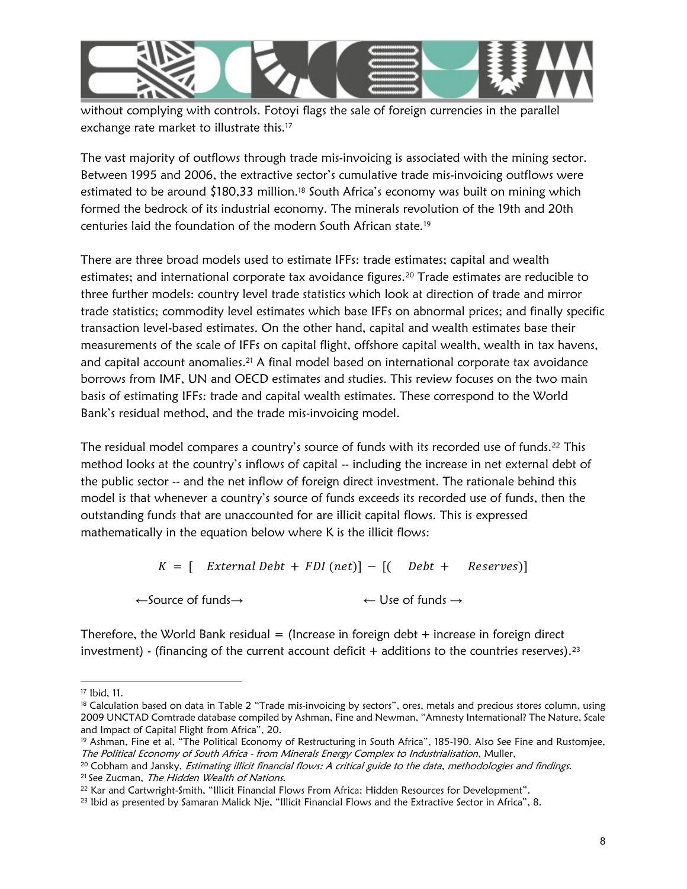

without complying with controls. Fotoyi flags the sale of foreign currencies in the parallel exchange rate market to illustrate this.<sup>17</sup>

The vast majority of outflows through trade mis-invoicing is associated with the mining sector. Between 1995 and 2006, the extractive sector's cumulative trade mis-invoicing outflows were estimated to be around \$180,33 million.18 South Africa's economy was built on mining which formed the bedrock of its industrial economy. The minerals revolution of the 19th and 20th centuries laid the foundation of the modern South African state.<sup>19</sup>

There are three broad models used to estimate IFFs: trade estimates; capital and wealth estimates; and international corporate tax avoidance figures.<sup>20</sup> Trade estimates are reducible to three further models: country level trade statistics which look at direction of trade and mirror trade statistics; commodity level estimates which base IFFs on abnormal prices; and finally specific transaction level-based estimates. On the other hand, capital and wealth estimates base their measurements of the scale of IFFs on capital flight, offshore capital wealth, wealth in tax havens, and capital account anomalies.<sup>21</sup> A final model based on international corporate tax avoidance borrows from IMF, UN and OECD estimates and studies. This review focuses on the two main basis of estimating IFFs: trade and capital wealth estimates. These correspond to the World Bank's residual method, and the trade mis-invoicing model.

The residual model compares a country's source of funds with its recorded use of funds.<sup>22</sup> This method looks at the country's inflows of capital -- including the increase in net external debt of the public sector -- and the net inflow of foreign direct investment. The rationale behind this model is that whenever a country's source of funds exceeds its recorded use of funds, then the outstanding funds that are unaccounted for are illicit capital flows. This is expressed mathematically in the equation below where K is the illicit flows:

 $K = \left[$  External Debt + FDI (net)] –  $\left[$  Debt + Reserves)]

←Source of funds→ ← Use of funds →

Therefore, the World Bank residual  $=$  (Increase in foreign debt  $+$  increase in foreign direct investment) - (financing of the current account deficit  $+$  additions to the countries reserves).<sup>23</sup>

<sup>17</sup> Ibid, 11.

<sup>&</sup>lt;sup>18</sup> Calculation based on data in Table 2 "Trade mis-invoicing by sectors", ores, metals and precious stores column, using 2009 UNCTAD Comtrade database compiled by Ashman, Fine and Newman, "Amnesty International? The Nature, Scale and Impact of Capital Flight from Africa", 20.

<sup>&</sup>lt;sup>19</sup> Ashman, Fine et al, "The Political Economy of Restructuring in South Africa", 185-190. Also See Fine and Rustomjee, The Political Economy of South Africa - from Minerals Energy Complex to Industrialisation, Muller,

<sup>&</sup>lt;sup>20</sup> Cobham and Jansky, Estimating illicit financial flows: A critical guide to the data, methodologies and findings. <sup>21</sup> See Zucman, The Hidden Wealth of Nations.

<sup>22</sup> Kar and Cartwright-Smith, "Illicit Financial Flows From Africa: Hidden Resources for Development".

<sup>23</sup> Ibid as presented by Samaran Malick Nje, "Illicit Financial Flows and the Extractive Sector in Africa", 8.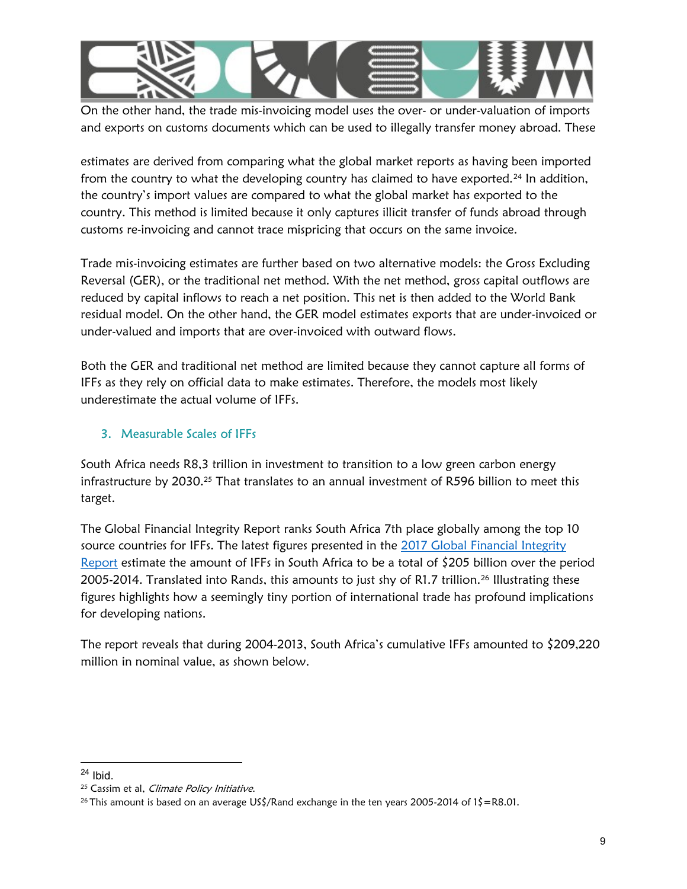

On the other hand, the trade mis-invoicing model uses the over- or under-valuation of imports and exports on customs documents which can be used to illegally transfer money abroad. These

estimates are derived from comparing what the global market reports as having been imported from the country to what the developing country has claimed to have exported.<sup>24</sup> In addition, the country's import values are compared to what the global market has exported to the country. This method is limited because it only captures illicit transfer of funds abroad through customs re-invoicing and cannot trace mispricing that occurs on the same invoice.

Trade mis-invoicing estimates are further based on two alternative models: the Gross Excluding Reversal (GER), or the traditional net method. With the net method, gross capital outflows are reduced by capital inflows to reach a net position. This net is then added to the World Bank residual model. On the other hand, the GER model estimates exports that are under-invoiced or under-valued and imports that are over-invoiced with outward flows.

Both the GER and traditional net method are limited because they cannot capture all forms of IFFs as they rely on official data to make estimates. Therefore, the models most likely underestimate the actual volume of IFFs.

# 3. Measurable Scales of IFFs

South Africa needs R8,3 trillion in investment to transition to a low green carbon energy infrastructure by 2030.<sup>25</sup> That translates to an annual investment of R596 billion to meet this target.

The Global Financial Integrity Report ranks South Africa 7th place globally among the top 10 source countries for IFFs. The latest figures presented in the 2017 Global Financial Integrity Report estimate the amount of IFFs in South Africa to be a total of \$205 billion over the period 2005-2014. Translated into Rands, this amounts to just shy of R1.7 trillion.<sup>26</sup> Illustrating these figures highlights how a seemingly tiny portion of international trade has profound implications for developing nations.

The report reveals that during 2004-2013, South Africa's cumulative IFFs amounted to \$209,220 million in nominal value, as shown below.

 $24$  Ibid.

<sup>&</sup>lt;sup>25</sup> Cassim et al, *Climate Policy Initiative*.

<sup>26</sup> This amount is based on an average US\$/Rand exchange in the ten years 2005-2014 of 1\$=R8.01.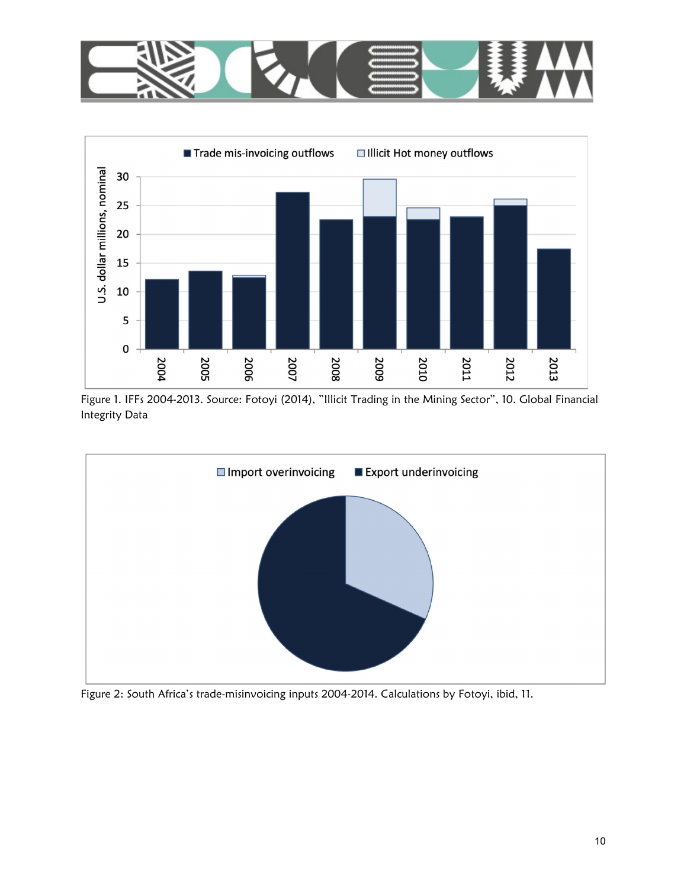



Figure 1. IFFs 2004-2013. Source: Fotoyi (2014), "Illicit Trading in the Mining Sector", 10. Global Financial Integrity Data



Figure 2: South Africa's trade-misinvoicing inputs 2004-2014. Calculations by Fotoyi, ibid, 11.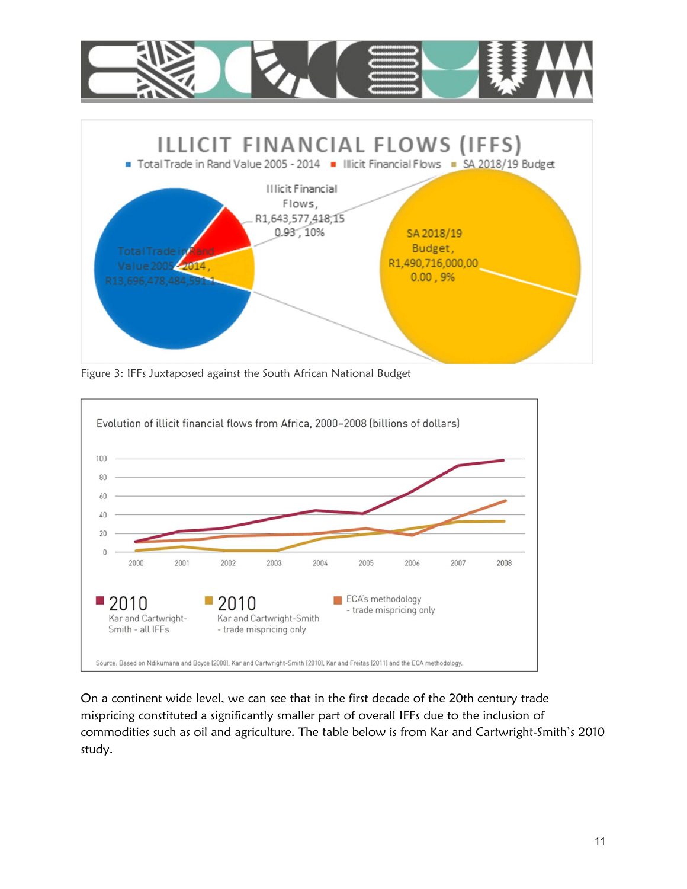

Figure 3: IFFs Juxtaposed against the South African National Budget



On a continent wide level, we can see that in the first decade of the 20th century trade mispricing constituted a significantly smaller part of overall IFFs due to the inclusion of commodities such as oil and agriculture. The table below is from Kar and Cartwright-Smith's 2010 study.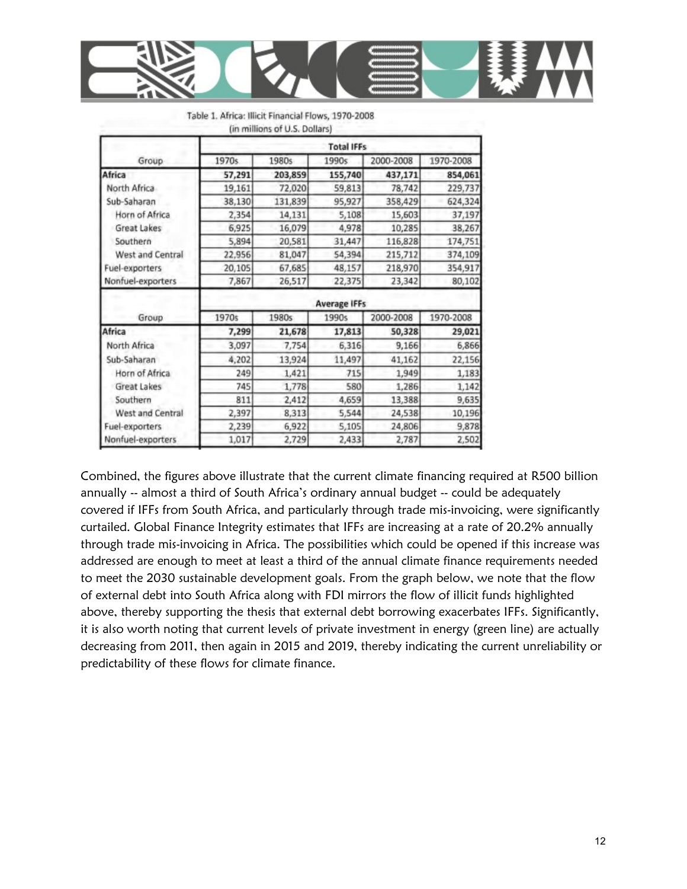

|                   | <b>Total IFFs</b>                 |                                                 |                                                        |                                                   |                                                              |  |  |
|-------------------|-----------------------------------|-------------------------------------------------|--------------------------------------------------------|---------------------------------------------------|--------------------------------------------------------------|--|--|
| Group             | 1970s                             | 1980s                                           | 1990s                                                  | 2000-2008                                         | 1970-2008                                                    |  |  |
| Africa            | 57,291                            | 203,859                                         | 155,740                                                | 437,171                                           | 854,061                                                      |  |  |
| North Africa      | 19,161                            | 72,020                                          | 59,813<br>95,927<br>5,108<br>4,978<br>31,447<br>54,394 | 78,742                                            | 229,737<br>624,324<br>37,197<br>38,267<br>174,751<br>374,109 |  |  |
| Sub-Saharan       | 38,130                            | 131,839<br>14,131<br>16,079<br>20,581<br>81,047 |                                                        | 358,429<br>15,603<br>10,285<br>116,828<br>215,712 |                                                              |  |  |
| Horn of Africa    | 2,354<br>6,925<br>5,894<br>22,956 |                                                 |                                                        |                                                   |                                                              |  |  |
| Great Lakes       |                                   |                                                 |                                                        |                                                   |                                                              |  |  |
| Southern          |                                   |                                                 |                                                        |                                                   |                                                              |  |  |
| West and Central  |                                   |                                                 |                                                        |                                                   |                                                              |  |  |
| Fuel-exporters    | 20,105                            | 67,685                                          | 48,157                                                 | 218,970                                           | 354,917                                                      |  |  |
| Nonfuel-exporters | 7,867                             | 26,517                                          | 22,375                                                 | 23,342                                            | 80,102                                                       |  |  |
|                   | <b>Average IFFs</b>               |                                                 |                                                        |                                                   |                                                              |  |  |
| Group             | 1970s                             | 1980s                                           | 1990s                                                  | 2000-2008                                         | 1970-2008                                                    |  |  |
| Africa            | 7,299                             | 21,678                                          | 17,813                                                 | 50,328                                            | 29,021                                                       |  |  |
| North Africa      | 3,097                             | 7,754                                           | 6,316                                                  | 9,166                                             | 6,866                                                        |  |  |
| Sub-Saharan       | 4,202                             | 13,924                                          | 11,497                                                 | 41,162                                            | 22,156                                                       |  |  |
| Horn of Africa    | 249                               | 1,421                                           | 715                                                    | 1,949                                             | 1,183                                                        |  |  |
| Great Lakes       | 745                               | 1,778                                           | 580                                                    | 1,286                                             | 1,142                                                        |  |  |
| Southern          | 811                               | 2,412                                           | 4,659                                                  | 13,388                                            | 9,635                                                        |  |  |
| West and Central  | 2,397                             | 8,313                                           | 5,544                                                  | 24,538                                            | 10,196                                                       |  |  |
| Fuel-exporters    | 2,239                             | 6,922                                           | 5,105                                                  | 24,806                                            | 9,878                                                        |  |  |
| Nonfuel-exporters | 1,017                             | 2,729                                           | 2,433                                                  | 2,787                                             | 2,502                                                        |  |  |

|  |  |                                                             | Table 1. Africa: Illicit Financial Flows, 1970-2008 |
|--|--|-------------------------------------------------------------|-----------------------------------------------------|
|  |  | $\lim_{n \to \infty}$ illings of $\prod_{n \in \mathbb{N}}$ |                                                     |

Combined, the figures above illustrate that the current climate financing required at R500 billion annually -- almost a third of South Africa's ordinary annual budget -- could be adequately covered if IFFs from South Africa, and particularly through trade mis-invoicing, were significantly curtailed. Global Finance Integrity estimates that IFFs are increasing at a rate of 20.2% annually through trade mis-invoicing in Africa. The possibilities which could be opened if this increase was addressed are enough to meet at least a third of the annual climate finance requirements needed to meet the 2030 sustainable development goals. From the graph below, we note that the flow of external debt into South Africa along with FDI mirrors the flow of illicit funds highlighted above, thereby supporting the thesis that external debt borrowing exacerbates IFFs. Significantly, it is also worth noting that current levels of private investment in energy (green line) are actually decreasing from 2011, then again in 2015 and 2019, thereby indicating the current unreliability or predictability of these flows for climate finance.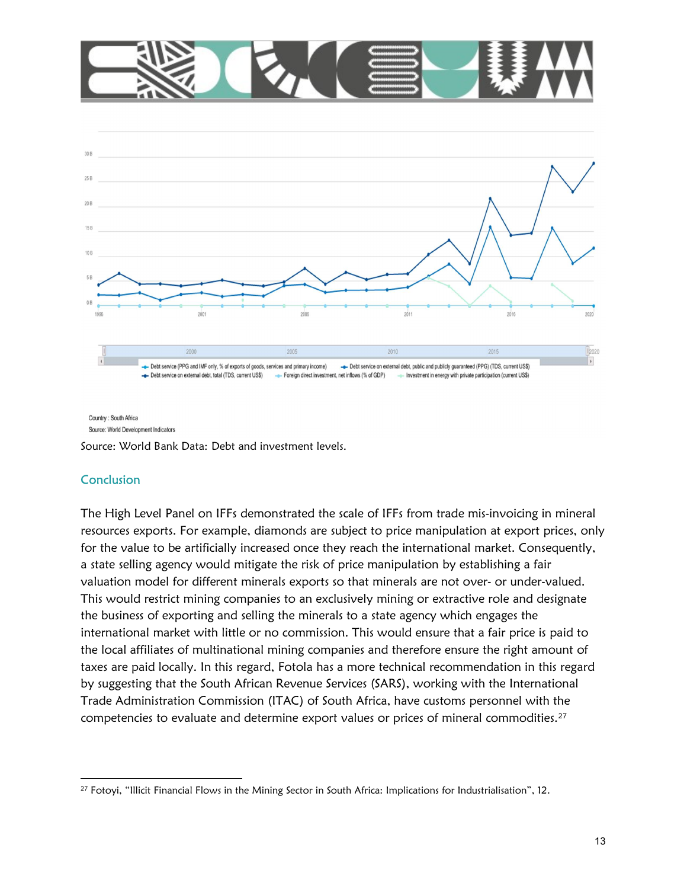



Country: South Africa Source: World Development Indicators

Source: World Bank Data: Debt and investment levels.

# **Conclusion**

The High Level Panel on IFFs demonstrated the scale of IFFs from trade mis-invoicing in mineral resources exports. For example, diamonds are subject to price manipulation at export prices, only for the value to be artificially increased once they reach the international market. Consequently, a state selling agency would mitigate the risk of price manipulation by establishing a fair valuation model for different minerals exports so that minerals are not over- or under-valued. This would restrict mining companies to an exclusively mining or extractive role and designate the business of exporting and selling the minerals to a state agency which engages the international market with little or no commission. This would ensure that a fair price is paid to the local affiliates of multinational mining companies and therefore ensure the right amount of taxes are paid locally. In this regard, Fotola has a more technical recommendation in this regard by suggesting that the South African Revenue Services (SARS), working with the International Trade Administration Commission (ITAC) of South Africa, have customs personnel with the competencies to evaluate and determine export values or prices of mineral commodities.<sup>27</sup>

<sup>27</sup> Fotoyi, "Illicit Financial Flows in the Mining Sector in South Africa: Implications for Industrialisation", 12.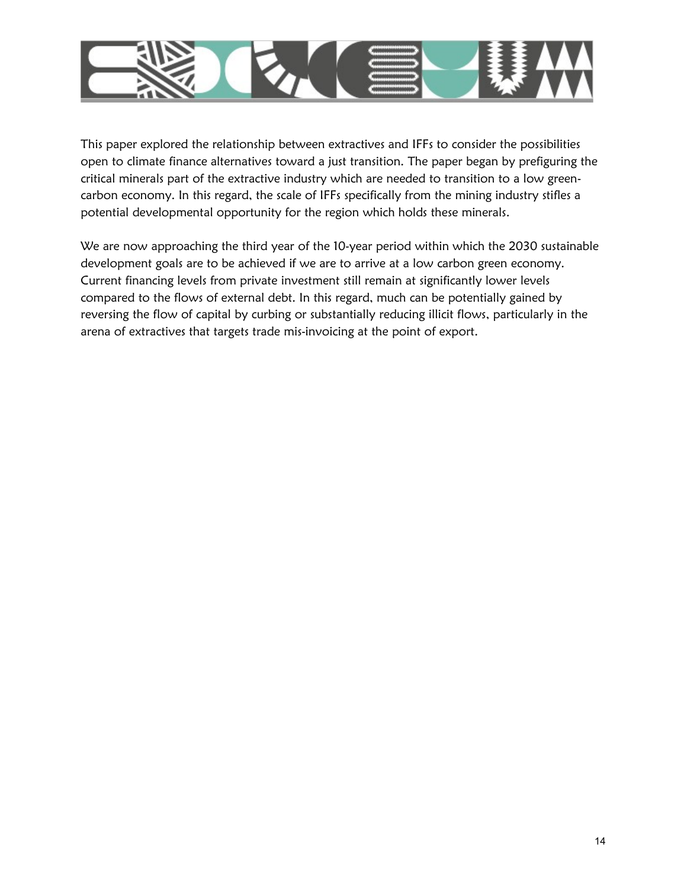

This paper explored the relationship between extractives and IFFs to consider the possibilities open to climate finance alternatives toward a just transition. The paper began by prefiguring the critical minerals part of the extractive industry which are needed to transition to a low greencarbon economy. In this regard, the scale of IFFs specifically from the mining industry stifles a potential developmental opportunity for the region which holds these minerals.

We are now approaching the third year of the 10-year period within which the 2030 sustainable development goals are to be achieved if we are to arrive at a low carbon green economy. Current financing levels from private investment still remain at significantly lower levels compared to the flows of external debt. In this regard, much can be potentially gained by reversing the flow of capital by curbing or substantially reducing illicit flows, particularly in the arena of extractives that targets trade mis-invoicing at the point of export.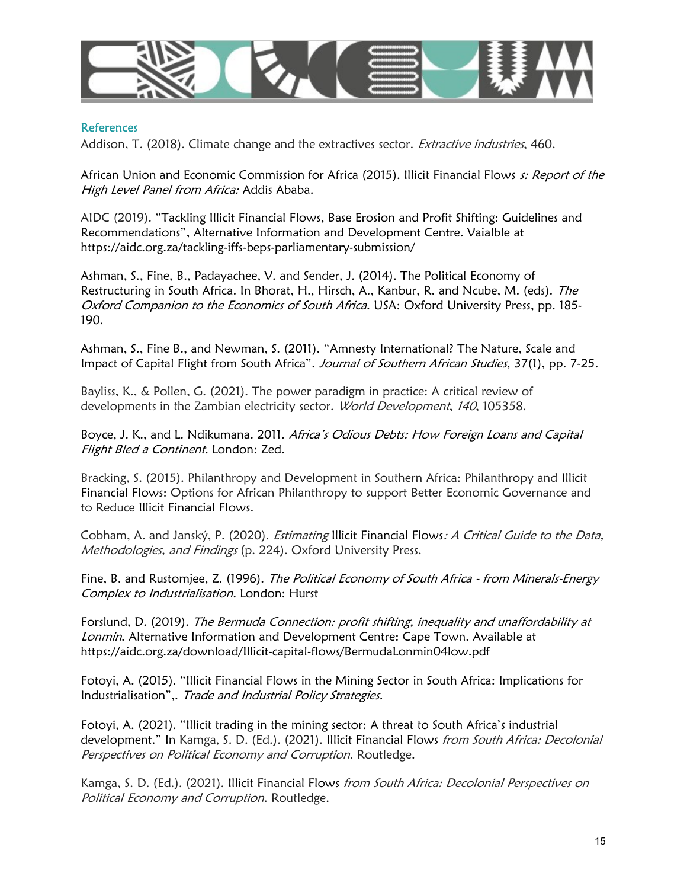

#### References

Addison, T. (2018). Climate change and the extractives sector. *Extractive industries*, 460.

African Union and Economic Commission for Africa (2015). Illicit Financial Flows s: Report of the High Level Panel from Africa: Addis Ababa.

AIDC (2019). "Tackling Illicit Financial Flows, Base Erosion and Profit Shifting: Guidelines and Recommendations", Alternative Information and Development Centre. Vaialble at https://aidc.org.za/tackling-iffs-beps-parliamentary-submission/

Ashman, S., Fine, B., Padayachee, V. and Sender, J. (2014). The Political Economy of Restructuring in South Africa. In Bhorat, H., Hirsch, A., Kanbur, R. and Ncube, M. (eds). The Oxford Companion to the Economics of South Africa. USA: Oxford University Press, pp. 185-190.

Ashman, S., Fine B., and Newman, S. (2011). "Amnesty International? The Nature, Scale and Impact of Capital Flight from South Africa". Journal of Southern African Studies, 37(1), pp. 7-25.

Bayliss, K., & Pollen, G. (2021). The power paradigm in practice: A critical review of developments in the Zambian electricity sector. World Development, 140, 105358.

Boyce, J. K., and L. Ndikumana. 2011. Africa's Odious Debts: How Foreign Loans and Capital Flight Bled a Continent. London: Zed.

Bracking, S. (2015). Philanthropy and Development in Southern Africa: Philanthropy and Illicit Financial Flows: Options for African Philanthropy to support Better Economic Governance and to Reduce Illicit Financial Flows.

Cobham, A. and Janský, P. (2020). Estimating Illicit Financial Flows: A Critical Guide to the Data, Methodologies, and Findings (p. 224). Oxford University Press.

Fine, B. and Rustomjee, Z. (1996). The Political Economy of South Africa - from Minerals-Energy Complex to Industrialisation. London: Hurst

Forslund, D. (2019). The Bermuda Connection: profit shifting, inequality and unaffordability at Lonmin. Alternative Information and Development Centre: Cape Town. Available at https://aidc.org.za/download/Illicit-capital-flows/BermudaLonmin04low.pdf

Fotoyi, A. (2015). "Illicit Financial Flows in the Mining Sector in South Africa: Implications for Industrialisation",. Trade and Industrial Policy Strategies.

Fotoyi, A. (2021). "Illicit trading in the mining sector: A threat to South Africa's industrial development." In Kamga, S. D. (Ed.). (2021). Illicit Financial Flows from South Africa: Decolonial Perspectives on Political Economy and Corruption. Routledge.

Kamga, S. D. (Ed.). (2021). Illicit Financial Flows from South Africa: Decolonial Perspectives on Political Economy and Corruption. Routledge.